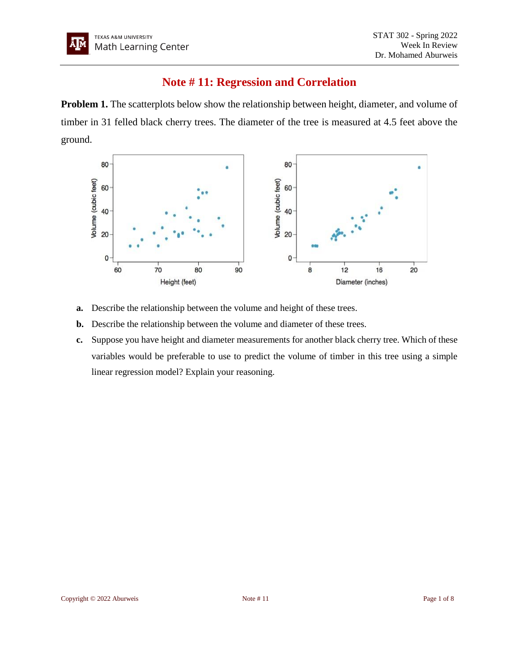## **Note # 11: Regression and Correlation**

**Problem 1.** The scatterplots below show the relationship between height, diameter, and volume of timber in 31 felled black cherry trees. The diameter of the tree is measured at 4.5 feet above the ground.



- **a.** Describe the relationship between the volume and height of these trees.
- **b.** Describe the relationship between the volume and diameter of these trees.
- **c.** Suppose you have height and diameter measurements for another black cherry tree. Which of these variables would be preferable to use to predict the volume of timber in this tree using a simple linear regression model? Explain your reasoning.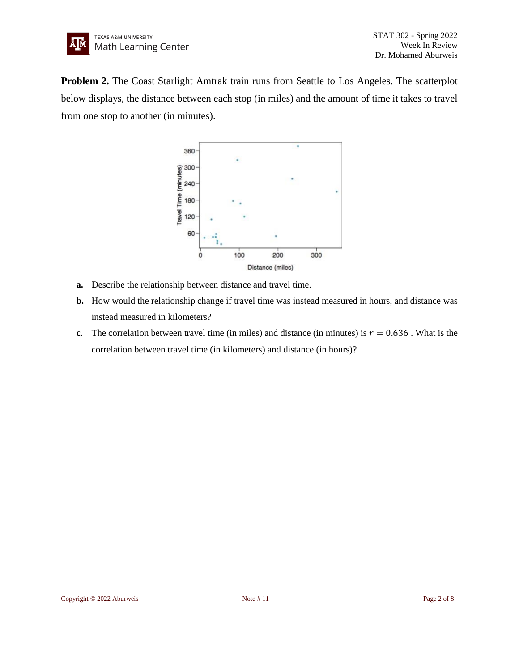**Problem 2.** The Coast Starlight Amtrak train runs from Seattle to Los Angeles. The scatterplot below displays, the distance between each stop (in miles) and the amount of time it takes to travel from one stop to another (in minutes).



- **a.** Describe the relationship between distance and travel time.
- **b.** How would the relationship change if travel time was instead measured in hours, and distance was instead measured in kilometers?
- **c.** The correlation between travel time (in miles) and distance (in minutes) is  $r = 0.636$ . What is the correlation between travel time (in kilometers) and distance (in hours)?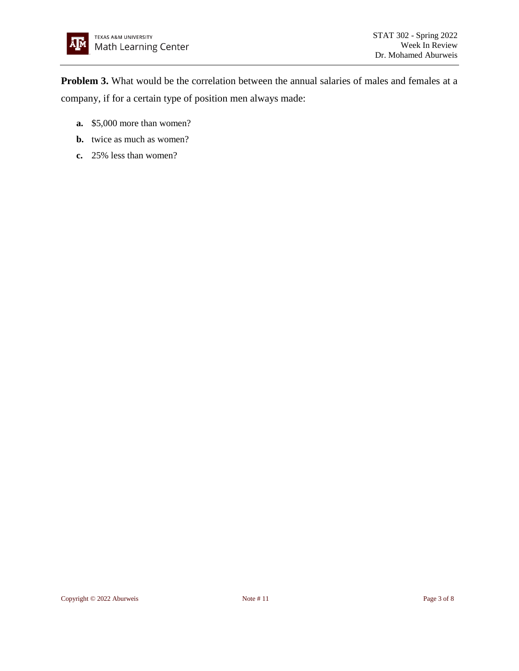**Problem 3.** What would be the correlation between the annual salaries of males and females at a company, if for a certain type of position men always made:

- **a.** \$5,000 more than women?
- **b.** twice as much as women?
- **c.** 25% less than women?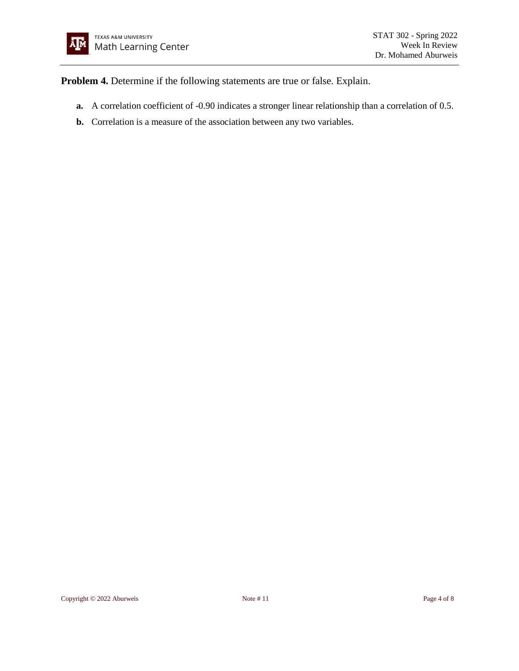

**Problem 4.** Determine if the following statements are true or false. Explain.

- **a.** A correlation coefficient of -0.90 indicates a stronger linear relationship than a correlation of 0.5.
- **b.** Correlation is a measure of the association between any two variables.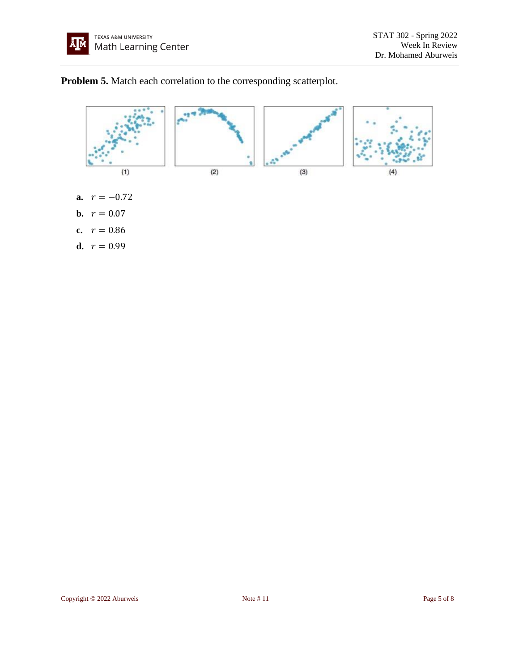



- **b.**  $r = 0.07$
- **c.**  $r = 0.86$
- **d.**  $r = 0.99$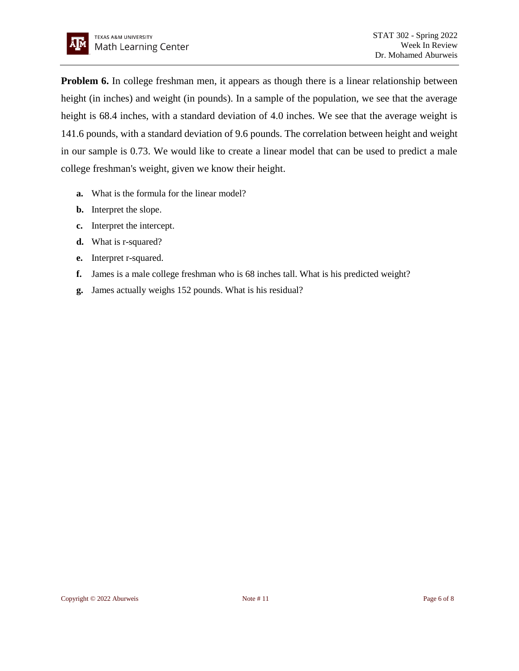**Problem 6.** In college freshman men, it appears as though there is a linear relationship between height (in inches) and weight (in pounds). In a sample of the population, we see that the average height is 68.4 inches, with a standard deviation of 4.0 inches. We see that the average weight is 141.6 pounds, with a standard deviation of 9.6 pounds. The correlation between height and weight in our sample is 0.73. We would like to create a linear model that can be used to predict a male college freshman's weight, given we know their height.

- **a.** What is the formula for the linear model?
- **b.** Interpret the slope.
- **c.** Interpret the intercept.
- **d.** What is r-squared?
- **e.** Interpret r-squared.
- **f.** James is a male college freshman who is 68 inches tall. What is his predicted weight?
- **g.** James actually weighs 152 pounds. What is his residual?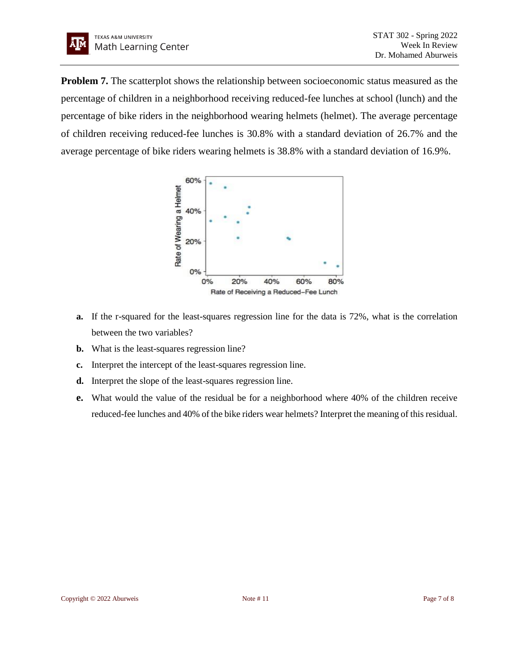**Problem 7.** The scatterplot shows the relationship between socioeconomic status measured as the percentage of children in a neighborhood receiving reduced-fee lunches at school (lunch) and the percentage of bike riders in the neighborhood wearing helmets (helmet). The average percentage of children receiving reduced-fee lunches is 30.8% with a standard deviation of 26.7% and the average percentage of bike riders wearing helmets is 38.8% with a standard deviation of 16.9%.



- **a.** If the r-squared for the least-squares regression line for the data is 72%, what is the correlation between the two variables?
- **b.** What is the least-squares regression line?
- **c.** Interpret the intercept of the least-squares regression line.
- **d.** Interpret the slope of the least-squares regression line.
- **e.** What would the value of the residual be for a neighborhood where 40% of the children receive reduced-fee lunches and 40% of the bike riders wear helmets? Interpret the meaning of this residual.